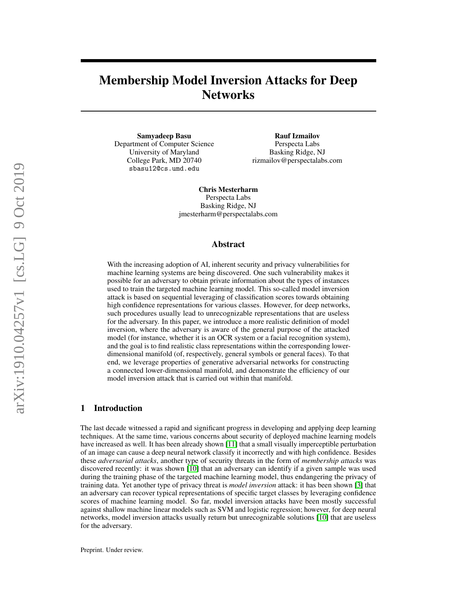# Membership Model Inversion Attacks for Deep **Networks**

Samyadeep Basu Department of Computer Science University of Maryland College Park, MD 20740 sbasu12@cs.umd.edu

Rauf Izmailov Perspecta Labs Basking Ridge, NJ rizmailov@perspectalabs.com

Chris Mesterharm Perspecta Labs Basking Ridge, NJ jmesterharm@perspectalabs.com

### Abstract

With the increasing adoption of AI, inherent security and privacy vulnerabilities for machine learning systems are being discovered. One such vulnerability makes it possible for an adversary to obtain private information about the types of instances used to train the targeted machine learning model. This so-called model inversion attack is based on sequential leveraging of classification scores towards obtaining high confidence representations for various classes. However, for deep networks, such procedures usually lead to unrecognizable representations that are useless for the adversary. In this paper, we introduce a more realistic definition of model inversion, where the adversary is aware of the general purpose of the attacked model (for instance, whether it is an OCR system or a facial recognition system), and the goal is to find realistic class representations within the corresponding lowerdimensional manifold (of, respectively, general symbols or general faces). To that end, we leverage properties of generative adversarial networks for constructing a connected lower-dimensional manifold, and demonstrate the efficiency of our model inversion attack that is carried out within that manifold.

# 1 Introduction

The last decade witnessed a rapid and significant progress in developing and applying deep learning techniques. At the same time, various concerns about security of deployed machine learning models have increased as well. It has been already shown [\[11\]](#page-4-0) that a small visually imperceptible perturbation of an image can cause a deep neural network classify it incorrectly and with high confidence. Besides these *adversarial attacks*, another type of security threats in the form of *membership attacks* was discovered recently: it was shown [\[10\]](#page-4-1) that an adversary can identify if a given sample was used during the training phase of the targeted machine learning model, thus endangering the privacy of training data. Yet another type of privacy threat is *model inversion* attack: it has been shown [\[3\]](#page-4-2) that an adversary can recover typical representations of specific target classes by leveraging confidence scores of machine learning model. So far, model inversion attacks have been mostly successful against shallow machine linear models such as SVM and logistic regression; however, for deep neural networks, model inversion attacks usually return but unrecognizable solutions [\[10\]](#page-4-1) that are useless for the adversary.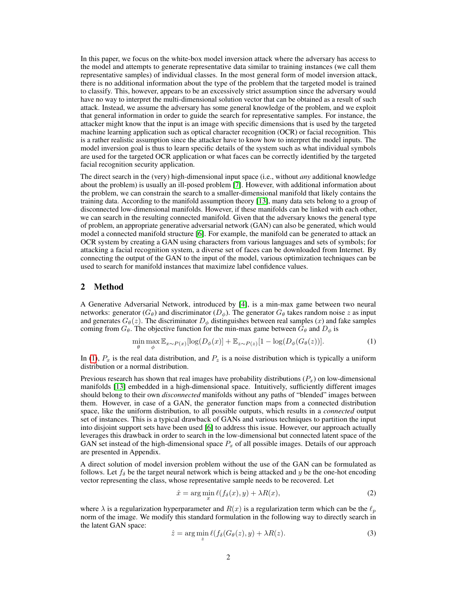In this paper, we focus on the white-box model inversion attack where the adversary has access to the model and attempts to generate representative data similar to training instances (we call them representative samples) of individual classes. In the most general form of model inversion attack, there is no additional information about the type of the problem that the targeted model is trained to classify. This, however, appears to be an excessively strict assumption since the adversary would have no way to interpret the multi-dimensional solution vector that can be obtained as a result of such attack. Instead, we assume the adversary has some general knowledge of the problem, and we exploit that general information in order to guide the search for representative samples. For instance, the attacker might know that the input is an image with specific dimensions that is used by the targeted machine learning application such as optical character recognition (OCR) or facial recognition. This is a rather realistic assumption since the attacker have to know how to interpret the model inputs. The model inversion goal is thus to learn specific details of the system such as what individual symbols are used for the targeted OCR application or what faces can be correctly identified by the targeted facial recognition security application.

The direct search in the (very) high-dimensional input space (i.e., without *any* additional knowledge about the problem) is usually an ill-posed problem [\[7\]](#page-4-3). However, with additional information about the problem, we can constrain the search to a smaller-dimensional manifold that likely contains the training data. According to the manifold assumption theory [\[13\]](#page-4-4), many data sets belong to a group of disconnected low-dimensional manifolds. However, if these manifolds can be linked with each other, we can search in the resulting connected manifold. Given that the adversary knows the general type of problem, an appropriate generative adversarial network (GAN) can also be generated, which would model a connected manifold structure [\[6\]](#page-4-5). For example, the manifold can be generated to attack an OCR system by creating a GAN using characters from various languages and sets of symbols; for attacking a facial recognition system, a diverse set of faces can be downloaded from Internet. By connecting the output of the GAN to the input of the model, various optimization techniques can be used to search for manifold instances that maximize label confidence values.

### 2 Method

A Generative Adversarial Network, introduced by [\[4\]](#page-4-6), is a min-max game between two neural networks: generator  $(G_{\theta})$  and discriminator  $(D_{\phi})$ . The generator  $G_{\theta}$  takes random noise z as input and generates  $G_{\theta}(z)$ . The discriminator  $D_{\phi}$  distinguishes between real samples (x) and fake samples coming from  $G_{\theta}$ . The objective function for the min-max game between  $G_{\theta}$  and  $D_{\phi}$  is

<span id="page-1-0"></span>
$$
\min_{\theta} \max_{\phi} \mathbb{E}_{x \sim P(x)}[\log(D_{\phi}(x)] + \mathbb{E}_{z \sim P(z)}[1 - \log(D_{\phi}(G_{\theta}(z))]. \tag{1}
$$

In [\(1\)](#page-1-0),  $P_x$  is the real data distribution, and  $P_z$  is a noise distribution which is typically a uniform distribution or a normal distribution.

Previous research has shown that real images have probability distributions  $(P_x)$  on low-dimensional manifolds [\[13\]](#page-4-4) embedded in a high-dimensional space. Intuitively, sufficiently different images should belong to their own *disconnected* manifolds without any paths of "blended" images between them. However, in case of a GAN, the generator function maps from a connected distribution space, like the uniform distribution, to all possible outputs, which results in a *connected* output set of instances. This is a typical drawback of GANs and various techniques to partition the input into disjoint support sets have been used [\[6\]](#page-4-5) to address this issue. However, our approach actually leverages this drawback in order to search in the low-dimensional but connected latent space of the GAN set instead of the high-dimensional space  $P<sub>x</sub>$  of all possible images. Details of our approach are presented in Appendix.

A direct solution of model inversion problem without the use of the GAN can be formulated as follows. Let  $f_\delta$  be the target neural network which is being attacked and y be the one-hot encoding vector representing the class, whose representative sample needs to be recovered. Let

<span id="page-1-2"></span>
$$
\hat{x} = \arg\min_{x} \ell(f_{\delta}(x), y) + \lambda R(x),\tag{2}
$$

where  $\lambda$  is a regularization hyperparameter and  $R(x)$  is a regularization term which can be the  $\ell_p$ norm of the image. We modify this standard formulation in the following way to directly search in the latent GAN space:

<span id="page-1-1"></span>
$$
\hat{z} = \arg\min_{z} \ell(f_{\delta}(G_{\theta}(z), y) + \lambda R(z)).
$$
\n(3)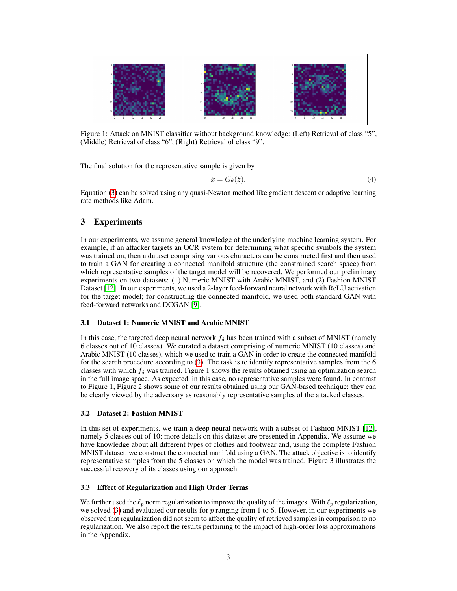

Figure 1: Attack on MNIST classifier without background knowledge: (Left) Retrieval of class "5", (Middle) Retrieval of class "6", (Right) Retrieval of class "9".

The final solution for the representative sample is given by

$$
\hat{x} = G_{\theta}(\hat{z}).\tag{4}
$$

Equation [\(3\)](#page-1-1) can be solved using any quasi-Newton method like gradient descent or adaptive learning rate methods like Adam.

# 3 Experiments

In our experiments, we assume general knowledge of the underlying machine learning system. For example, if an attacker targets an OCR system for determining what specific symbols the system was trained on, then a dataset comprising various characters can be constructed first and then used to train a GAN for creating a connected manifold structure (the constrained search space) from which representative samples of the target model will be recovered. We performed our preliminary experiments on two datasets: (1) Numeric MNIST with Arabic MNIST, and (2) Fashion MNIST Dataset [\[12\]](#page-4-7). In our experiments, we used a 2-layer feed-forward neural network with ReLU activation for the target model; for constructing the connected manifold, we used both standard GAN with feed-forward networks and DCGAN [\[9\]](#page-4-8).

### 3.1 Dataset 1: Numeric MNIST and Arabic MNIST

In this case, the targeted deep neural network  $f_{\delta}$  has been trained with a subset of MNIST (namely 6 classes out of 10 classes). We curated a dataset comprising of numeric MNIST (10 classes) and Arabic MNIST (10 classes), which we used to train a GAN in order to create the connected manifold for the search procedure according to [\(3\)](#page-1-1). The task is to identify representative samples from the 6 classes with which  $f_\delta$  was trained. Figure 1 shows the results obtained using an optimization search in the full image space. As expected, in this case, no representative samples were found. In contrast to Figure 1, Figure 2 shows some of our results obtained using our GAN-based technique: they can be clearly viewed by the adversary as reasonably representative samples of the attacked classes.

### 3.2 Dataset 2: Fashion MNIST

In this set of experiments, we train a deep neural network with a subset of Fashion MNIST [\[12\]](#page-4-7), namely 5 classes out of 10; more details on this dataset are presented in Appendix. We assume we have knowledge about all different types of clothes and footwear and, using the complete Fashion MNIST dataset, we construct the connected manifold using a GAN. The attack objective is to identify representative samples from the 5 classes on which the model was trained. Figure 3 illustrates the successful recovery of its classes using our approach.

### 3.3 Effect of Regularization and High Order Terms

We further used the  $\ell_p$  norm regularization to improve the quality of the images. With  $\ell_p$  regularization, we solved [\(3\)](#page-1-1) and evaluated our results for  $p$  ranging from 1 to 6. However, in our experiments we observed that regularization did not seem to affect the quality of retrieved samples in comparison to no regularization. We also report the results pertaining to the impact of high-order loss approximations in the Appendix.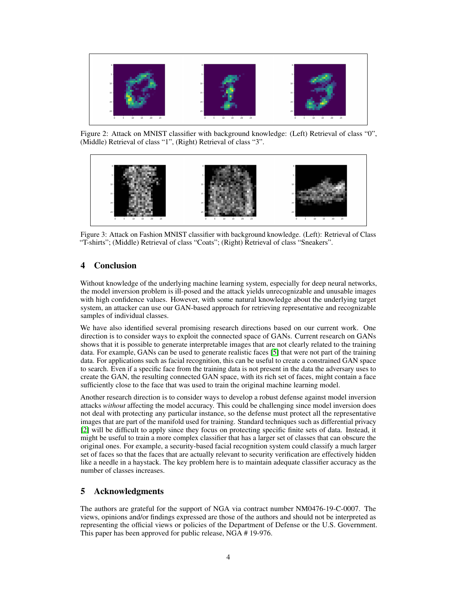

Figure 2: Attack on MNIST classifier with background knowledge: (Left) Retrieval of class "0", (Middle) Retrieval of class "1", (Right) Retrieval of class "3".



Figure 3: Attack on Fashion MNIST classifier with background knowledge. (Left): Retrieval of Class "T-shirts"; (Middle) Retrieval of class "Coats"; (Right) Retrieval of class "Sneakers".

# 4 Conclusion

Without knowledge of the underlying machine learning system, especially for deep neural networks, the model inversion problem is ill-posed and the attack yields unrecognizable and unusable images with high confidence values. However, with some natural knowledge about the underlying target system, an attacker can use our GAN-based approach for retrieving representative and recognizable samples of individual classes.

We have also identified several promising research directions based on our current work. One direction is to consider ways to exploit the connected space of GANs. Current research on GANs shows that it is possible to generate interpretable images that are not clearly related to the training data. For example, GANs can be used to generate realistic faces [\[5\]](#page-4-9) that were not part of the training data. For applications such as facial recognition, this can be useful to create a constrained GAN space to search. Even if a specific face from the training data is not present in the data the adversary uses to create the GAN, the resulting connected GAN space, with its rich set of faces, might contain a face sufficiently close to the face that was used to train the original machine learning model.

Another research direction is to consider ways to develop a robust defense against model inversion attacks *without* affecting the model accuracy. This could be challenging since model inversion does not deal with protecting any particular instance, so the defense must protect all the representative images that are part of the manifold used for training. Standard techniques such as differential privacy [\[2\]](#page-4-10) will be difficult to apply since they focus on protecting specific finite sets of data. Instead, it might be useful to train a more complex classifier that has a larger set of classes that can obscure the original ones. For example, a security-based facial recognition system could classify a much larger set of faces so that the faces that are actually relevant to security verification are effectively hidden like a needle in a haystack. The key problem here is to maintain adequate classifier accuracy as the number of classes increases.

# 5 Acknowledgments

The authors are grateful for the support of NGA via contract number NM0476-19-C-0007. The views, opinions and/or findings expressed are those of the authors and should not be interpreted as representing the official views or policies of the Department of Defense or the U.S. Government. This paper has been approved for public release, NGA # 19-976.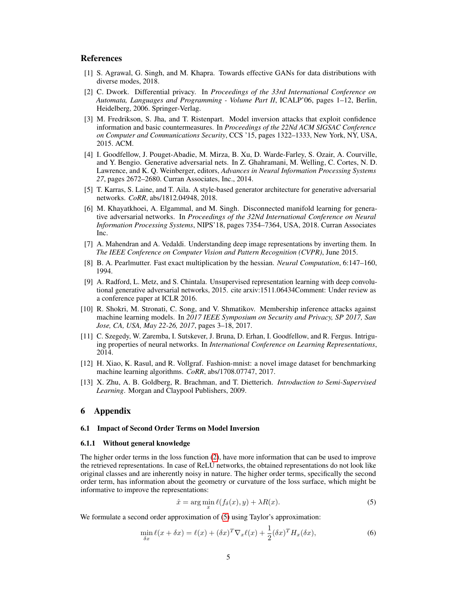### References

- <span id="page-4-13"></span>[1] S. Agrawal, G. Singh, and M. Khapra. Towards effective GANs for data distributions with diverse modes, 2018.
- <span id="page-4-10"></span>[2] C. Dwork. Differential privacy. In *Proceedings of the 33rd International Conference on Automata, Languages and Programming - Volume Part II*, ICALP'06, pages 1–12, Berlin, Heidelberg, 2006. Springer-Verlag.
- <span id="page-4-2"></span>[3] M. Fredrikson, S. Jha, and T. Ristenpart. Model inversion attacks that exploit confidence information and basic countermeasures. In *Proceedings of the 22Nd ACM SIGSAC Conference on Computer and Communications Security*, CCS '15, pages 1322–1333, New York, NY, USA, 2015. ACM.
- <span id="page-4-6"></span>[4] I. Goodfellow, J. Pouget-Abadie, M. Mirza, B. Xu, D. Warde-Farley, S. Ozair, A. Courville, and Y. Bengio. Generative adversarial nets. In Z. Ghahramani, M. Welling, C. Cortes, N. D. Lawrence, and K. Q. Weinberger, editors, *Advances in Neural Information Processing Systems 27*, pages 2672–2680. Curran Associates, Inc., 2014.
- <span id="page-4-9"></span>[5] T. Karras, S. Laine, and T. Aila. A style-based generator architecture for generative adversarial networks. *CoRR*, abs/1812.04948, 2018.
- <span id="page-4-5"></span>[6] M. Khayatkhoei, A. Elgammal, and M. Singh. Disconnected manifold learning for generative adversarial networks. In *Proceedings of the 32Nd International Conference on Neural Information Processing Systems*, NIPS'18, pages 7354–7364, USA, 2018. Curran Associates Inc.
- <span id="page-4-3"></span>[7] A. Mahendran and A. Vedaldi. Understanding deep image representations by inverting them. In *The IEEE Conference on Computer Vision and Pattern Recognition (CVPR)*, June 2015.
- <span id="page-4-12"></span>[8] B. A. Pearlmutter. Fast exact multiplication by the hessian. *Neural Computation*, 6:147–160, 1994.
- <span id="page-4-8"></span>[9] A. Radford, L. Metz, and S. Chintala. Unsupervised representation learning with deep convolutional generative adversarial networks, 2015. cite arxiv:1511.06434Comment: Under review as a conference paper at ICLR 2016.
- <span id="page-4-1"></span>[10] R. Shokri, M. Stronati, C. Song, and V. Shmatikov. Membership inference attacks against machine learning models. In *2017 IEEE Symposium on Security and Privacy, SP 2017, San Jose, CA, USA, May 22-26, 2017*, pages 3–18, 2017.
- <span id="page-4-0"></span>[11] C. Szegedy, W. Zaremba, I. Sutskever, J. Bruna, D. Erhan, I. Goodfellow, and R. Fergus. Intriguing properties of neural networks. In *International Conference on Learning Representations*, 2014.
- <span id="page-4-7"></span>[12] H. Xiao, K. Rasul, and R. Vollgraf. Fashion-mnist: a novel image dataset for benchmarking machine learning algorithms. *CoRR*, abs/1708.07747, 2017.
- <span id="page-4-4"></span>[13] X. Zhu, A. B. Goldberg, R. Brachman, and T. Dietterich. *Introduction to Semi-Supervised Learning*. Morgan and Claypool Publishers, 2009.

## 6 Appendix

#### 6.1 Impact of Second Order Terms on Model Inversion

#### 6.1.1 Without general knowledge

The higher order terms in the loss function [\(2\)](#page-1-2), have more information that can be used to improve the retrieved representations. In case of ReLU networks, the obtained representations do not look like original classes and are inherently noisy in nature. The higher order terms, specifically the second order term, has information about the geometry or curvature of the loss surface, which might be informative to improve the representations:

<span id="page-4-11"></span>
$$
\hat{x} = \arg\min_{x} \ell(f_{\delta}(x), y) + \lambda R(x). \tag{5}
$$

We formulate a second order approximation of  $(5)$  using Taylor's approximation:

$$
\min_{\delta x} \ell(x + \delta x) = \ell(x) + (\delta x)^T \nabla_x \ell(x) + \frac{1}{2} (\delta x)^T H_x(\delta x), \tag{6}
$$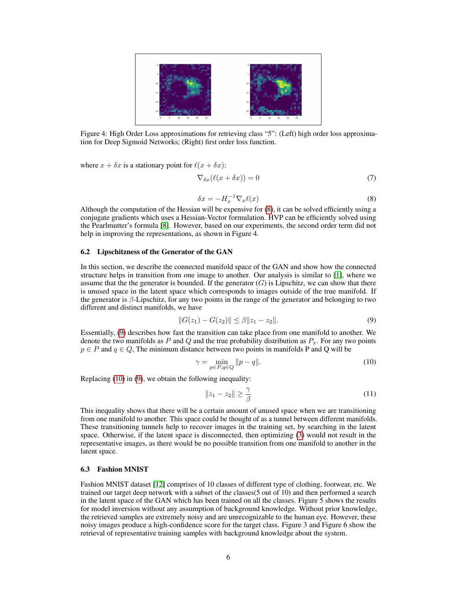

Figure 4: High Order Loss approximations for retrieving class "5": (Left) high order loss approximation for Deep Sigmoid Networks; (Right) first order loss function.

where  $x + \delta x$  is a stationary point for  $\ell(x + \delta x)$ :

$$
\nabla_{\delta x}(\ell(x + \delta x)) = 0 \tag{7}
$$

$$
\delta x = -H_x^{-1} \nabla_x \ell(x) \tag{8}
$$

<span id="page-5-0"></span>Although the computation of the Hessian will be expensive for [\(8\)](#page-5-0), it can be solved efficiently using a conjugate gradients which uses a Hessian-Vector formulation. HVP can be efficiently solved using the Pearlmutter's formula [\[8\]](#page-4-12). However, based on our experiments, the second order term did not help in improving the representations, as shown in Figure 4.

### 6.2 Lipschitzness of the Generator of the GAN

In this section, we describe the connected manifold space of the GAN and show how the connected structure helps in transition from one image to another. Our analysis is similar to [\[1\]](#page-4-13), where we assume that the the generator is bounded. If the generator  $(G)$  is Lipschitz, we can show that there is unused space in the latent space which corresponds to images outside of the true manifold. If the generator is  $\beta$ -Lipschitz, for any two points in the range of the generator and belonging to two different and distinct manifolds, we have

<span id="page-5-1"></span>
$$
||G(z_1) - G(z_2)|| \le \beta ||z_1 - z_2||. \tag{9}
$$

Essentially, [\(9\)](#page-5-1) describes how fast the transition can take place from one manifold to another. We denote the two manifolds as P and Q and the true probability distribution as  $P_x$ . For any two points  $p \in P$  and  $q \in Q$ , The minimum distance between two points in manifolds P and Q will be

$$
\gamma = \min_{p \in P, q \in Q} ||p - q||. \tag{10}
$$

Replacing [\(10\)](#page-5-2) in [\(9\)](#page-5-1), we obtain the following inequality:

<span id="page-5-2"></span>
$$
||z_1 - z_2|| \ge \frac{\gamma}{\beta} \tag{11}
$$

This inequality shows that there will be a certain amount of unused space when we are transitioning from one manifold to another. This space could be thought of as a tunnel between different manifolds. These transitioning tunnels help to recover images in the training set, by searching in the latent space. Otherwise, if the latent space is disconnected, then optimizing [\(3\)](#page-1-1) would not result in the representative images, as there would be no possible transition from one manifold to another in the latent space.

#### 6.3 Fashion MNIST

Fashion MNIST dataset [\[12\]](#page-4-7) comprises of 10 classes of different type of clothing, footwear, etc. We trained our target deep network with a subset of the classes(5 out of 10) and then performed a search in the latent space of the GAN which has been trained on all the classes. Figure 5 shows the results for model inversion without any assumption of background knowledge. Without prior knowledge, the retrieved samples are extremely noisy and are unrecognizable to the human eye. However, these noisy images produce a high-confidence score for the target class. Figure 3 and Figure 6 show the retrieval of representative training samples with background knowledge about the system.